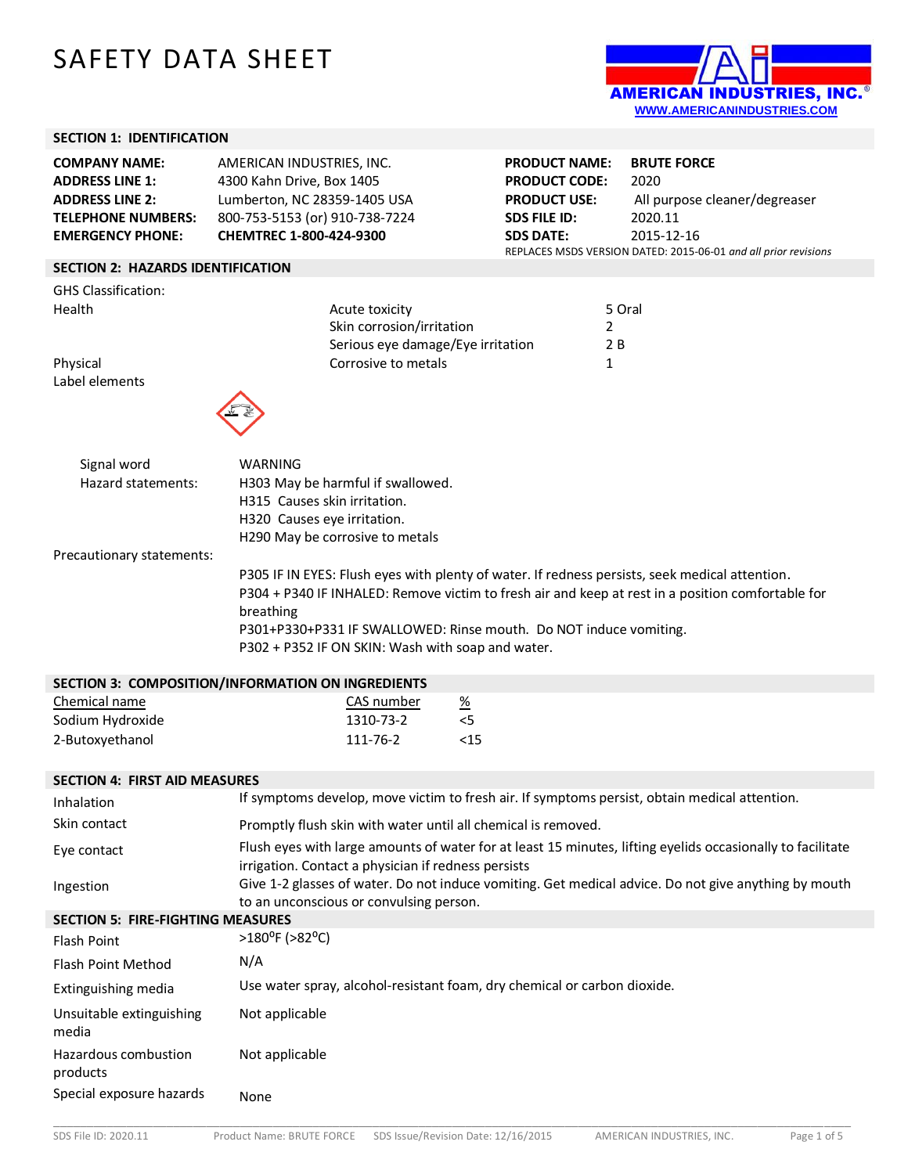# SAFETY DATA SHEET



#### **SECTION 1: IDENTIFICATION**

| <b>COMPANY NAME:</b>                     | AMERICAN INDUSTRIES, INC.      | <b>PRODUCT NAME:</b> | <b>BRUTE FORCE</b>                                                            |
|------------------------------------------|--------------------------------|----------------------|-------------------------------------------------------------------------------|
| <b>ADDRESS LINE 1:</b>                   | 4300 Kahn Drive, Box 1405      | <b>PRODUCT CODE:</b> | 2020                                                                          |
| <b>ADDRESS LINE 2:</b>                   | Lumberton, NC 28359-1405 USA   | <b>PRODUCT USE:</b>  | All purpose cleaner/degreaser                                                 |
| <b>TELEPHONE NUMBERS:</b>                | 800-753-5153 (or) 910-738-7224 | <b>SDS FILE ID:</b>  | 2020.11                                                                       |
| <b>EMERGENCY PHONE:</b>                  | CHEMTREC 1-800-424-9300        | <b>SDS DATE:</b>     | 2015-12-16<br>REPLACES MSDS VERSION DATED: 2015-06-01 and all prior revisions |
| <b>SECTION 2: HAZARDS IDENTIFICATION</b> |                                |                      |                                                                               |
| <b>GHS Classification:</b><br>Health     | Acute toxicity                 |                      | 5 Oral                                                                        |

Skin corrosion/irritation 2 Serious eye damage/Eye irritation 2 B

Physical **Corrosive to metals** 1 Label elements



| Signal word                                                                   | WARNING                                     |
|-------------------------------------------------------------------------------|---------------------------------------------|
| Hazard statements:                                                            | H303 May be harmful if swallowed.           |
|                                                                               | H315 Causes skin irritation.                |
|                                                                               | H320 Causes eye irritation.                 |
|                                                                               | H <sub>290</sub> May be corrosive to metals |
| $\cdots$ +; $\cdots$ , $\cdots$ , $\cdots$ +, $\cdots$ , $\cdots$ +, $\cdots$ |                                             |

Precautionary statements:

P305 IF IN EYES: Flush eyes with plenty of water. If redness persists, seek medical attention. P304 + P340 IF INHALED: Remove victim to fresh air and keep at rest in a position comfortable for breathing P301+P330+P331 IF SWALLOWED: Rinse mouth. Do NOT induce vomiting. P302 + P352 IF ON SKIN: Wash with soap and water.

| <b>SECTION 3: COMPOSITION/INFORMATION ON INGREDIENTS</b> |            |                 |
|----------------------------------------------------------|------------|-----------------|
| Chemical name                                            | CAS number | $\frac{\%}{\%}$ |
| Sodium Hydroxide                                         | 1310-73-2  | $\leq 5$        |
| 2-Butoxyethanol                                          | 111-76-2   | <15             |

#### **SECTION 4: FIRST AID MEASURES**

| Inhalation                               | If symptoms develop, move victim to fresh air. If symptoms persist, obtain medical attention.                                                                     |
|------------------------------------------|-------------------------------------------------------------------------------------------------------------------------------------------------------------------|
| Skin contact                             | Promptly flush skin with water until all chemical is removed.                                                                                                     |
| Eye contact                              | Flush eyes with large amounts of water for at least 15 minutes, lifting eyelids occasionally to facilitate<br>irrigation. Contact a physician if redness persists |
| Ingestion                                | Give 1-2 glasses of water. Do not induce vomiting. Get medical advice. Do not give anything by mouth<br>to an unconscious or convulsing person.                   |
| <b>SECTION 5: FIRE-FIGHTING MEASURES</b> |                                                                                                                                                                   |
| Flash Point                              | $>180^{\circ}$ F ( $>82^{\circ}$ C)                                                                                                                               |
| <b>Flash Point Method</b>                | N/A                                                                                                                                                               |
| Extinguishing media                      | Use water spray, alcohol-resistant foam, dry chemical or carbon dioxide.                                                                                          |
| Unsuitable extinguishing<br>media        | Not applicable                                                                                                                                                    |
| Hazardous combustion<br>products         | Not applicable                                                                                                                                                    |
| Special exposure hazards                 | None                                                                                                                                                              |

\_\_\_\_\_\_\_\_\_\_\_\_\_\_\_\_\_\_\_\_\_\_\_\_\_\_\_\_\_\_\_\_\_\_\_\_\_\_\_\_\_\_\_\_\_\_\_\_\_\_\_\_\_\_\_\_\_\_\_\_\_\_\_\_\_\_\_\_\_\_\_\_\_\_\_\_\_\_\_\_\_\_\_\_\_\_\_\_\_\_\_\_\_\_\_\_\_\_\_\_\_\_\_\_\_\_\_\_\_\_\_\_\_\_\_\_\_\_\_\_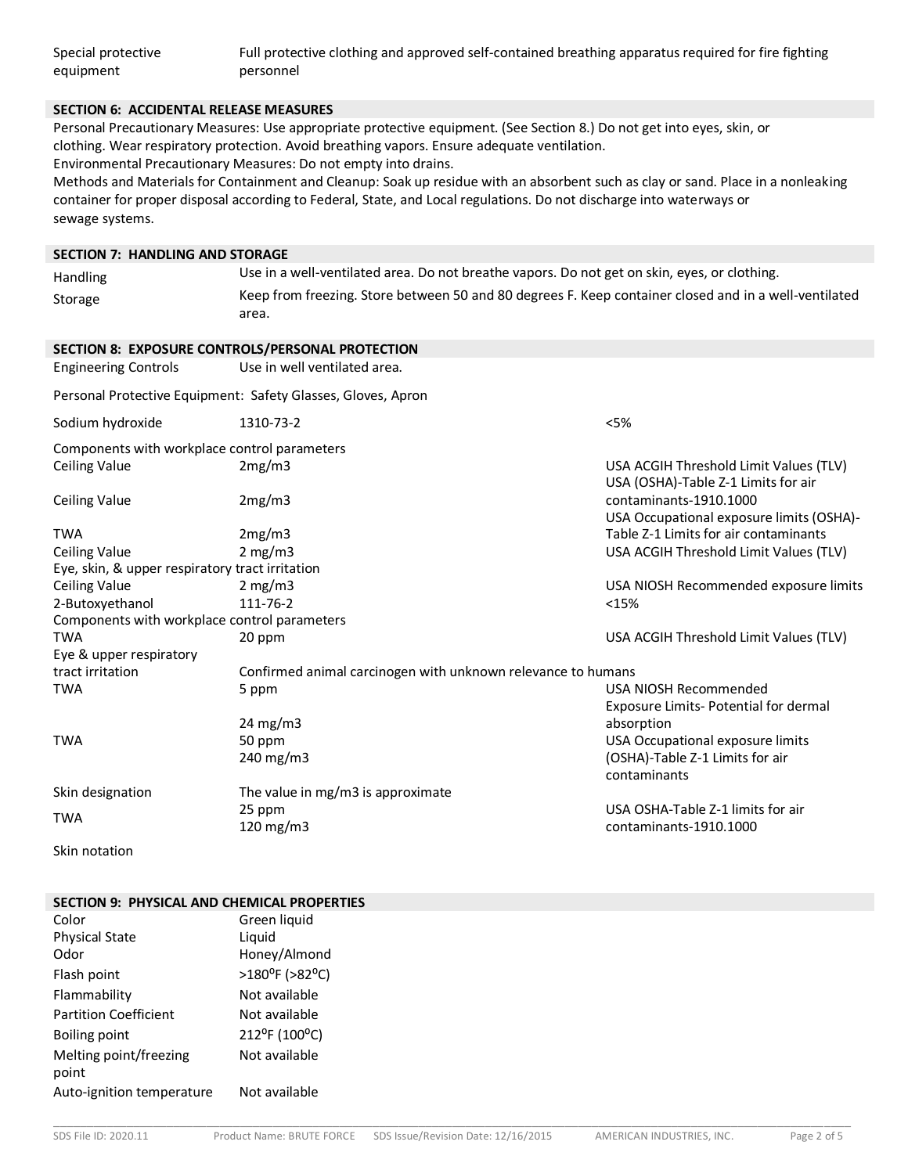| Special protective | Full protective clothing and approved self-contained breathing apparatus required for fire fighting |
|--------------------|-----------------------------------------------------------------------------------------------------|
| equipment          | personnel                                                                                           |

#### **SECTION 6: ACCIDENTAL RELEASE MEASURES**

Personal Precautionary Measures: Use appropriate protective equipment. (See Section 8.) Do not get into eyes, skin, or clothing. Wear respiratory protection. Avoid breathing vapors. Ensure adequate ventilation. Environmental Precautionary Measures: Do not empty into drains.

Methods and Materials for Containment and Cleanup: Soak up residue with an absorbent such as clay or sand. Place in a nonleaking container for proper disposal according to Federal, State, and Local regulations. Do not discharge into waterways or sewage systems.**7**

#### **SECTION 7: HANDLING AND STORAGE**

| <b>Handling</b> | Use in a well-ventilated area. Do not breathe vapors. Do not get on skin, eyes, or clothing.          |
|-----------------|-------------------------------------------------------------------------------------------------------|
| Storage         | Keep from freezing. Store between 50 and 80 degrees F. Keep container closed and in a well-ventilated |
|                 | area.                                                                                                 |

|                                                 | SECTION 8: EXPOSURE CONTROLS/PERSONAL PROTECTION             |                                                                               |
|-------------------------------------------------|--------------------------------------------------------------|-------------------------------------------------------------------------------|
| <b>Engineering Controls</b>                     | Use in well ventilated area.                                 |                                                                               |
|                                                 | Personal Protective Equipment: Safety Glasses, Gloves, Apron |                                                                               |
| Sodium hydroxide                                | 1310-73-2                                                    | < 5%                                                                          |
| Components with workplace control parameters    |                                                              |                                                                               |
| <b>Ceiling Value</b>                            | 2mg/m3                                                       | USA ACGIH Threshold Limit Values (TLV)<br>USA (OSHA)-Table Z-1 Limits for air |
| <b>Ceiling Value</b>                            | 2mg/m3                                                       | contaminants-1910.1000<br>USA Occupational exposure limits (OSHA)-            |
| <b>TWA</b>                                      | 2mg/m3                                                       | Table Z-1 Limits for air contaminants                                         |
| Ceiling Value                                   | 2 mg/m3                                                      | USA ACGIH Threshold Limit Values (TLV)                                        |
| Eye, skin, & upper respiratory tract irritation |                                                              |                                                                               |
| <b>Ceiling Value</b>                            | 2 mg/m $3$                                                   | USA NIOSH Recommended exposure limits                                         |
| 2-Butoxyethanol                                 | 111-76-2                                                     | <15%                                                                          |
| Components with workplace control parameters    |                                                              |                                                                               |
| <b>TWA</b>                                      | 20 ppm                                                       | USA ACGIH Threshold Limit Values (TLV)                                        |
| Eye & upper respiratory                         |                                                              |                                                                               |
| tract irritation                                | Confirmed animal carcinogen with unknown relevance to humans |                                                                               |
| TWA                                             | 5 ppm                                                        | USA NIOSH Recommended                                                         |
|                                                 |                                                              | Exposure Limits- Potential for dermal                                         |
|                                                 | 24 mg/m $3$                                                  | absorption                                                                    |
| <b>TWA</b>                                      | 50 ppm                                                       | USA Occupational exposure limits                                              |
|                                                 | 240 mg/m $3$                                                 | (OSHA)-Table Z-1 Limits for air<br>contaminants                               |
| Skin designation                                | The value in mg/m3 is approximate                            |                                                                               |
|                                                 | 25 ppm                                                       | USA OSHA-Table Z-1 limits for air                                             |
| <b>TWA</b>                                      | 120 mg/m $3$                                                 | contaminants-1910.1000                                                        |

Skin notation

## **SECTION 9: PHYSICAL AND CHEMICAL PROPERTIES**

| Color                           | Green liquid                        |
|---------------------------------|-------------------------------------|
| <b>Physical State</b>           | Liguid                              |
| Odor                            | Honey/Almond                        |
| Flash point                     | $>180^{\circ}$ F ( $>82^{\circ}$ C) |
| Flammability                    | Not available                       |
| <b>Partition Coefficient</b>    | Not available                       |
| Boiling point                   | 212°F (100°C)                       |
| Melting point/freezing<br>point | Not available                       |
| Auto-ignition temperature       | Not available                       |

\_\_\_\_\_\_\_\_\_\_\_\_\_\_\_\_\_\_\_\_\_\_\_\_\_\_\_\_\_\_\_\_\_\_\_\_\_\_\_\_\_\_\_\_\_\_\_\_\_\_\_\_\_\_\_\_\_\_\_\_\_\_\_\_\_\_\_\_\_\_\_\_\_\_\_\_\_\_\_\_\_\_\_\_\_\_\_\_\_\_\_\_\_\_\_\_\_\_\_\_\_\_\_\_\_\_\_\_\_\_\_\_\_\_\_\_\_\_\_\_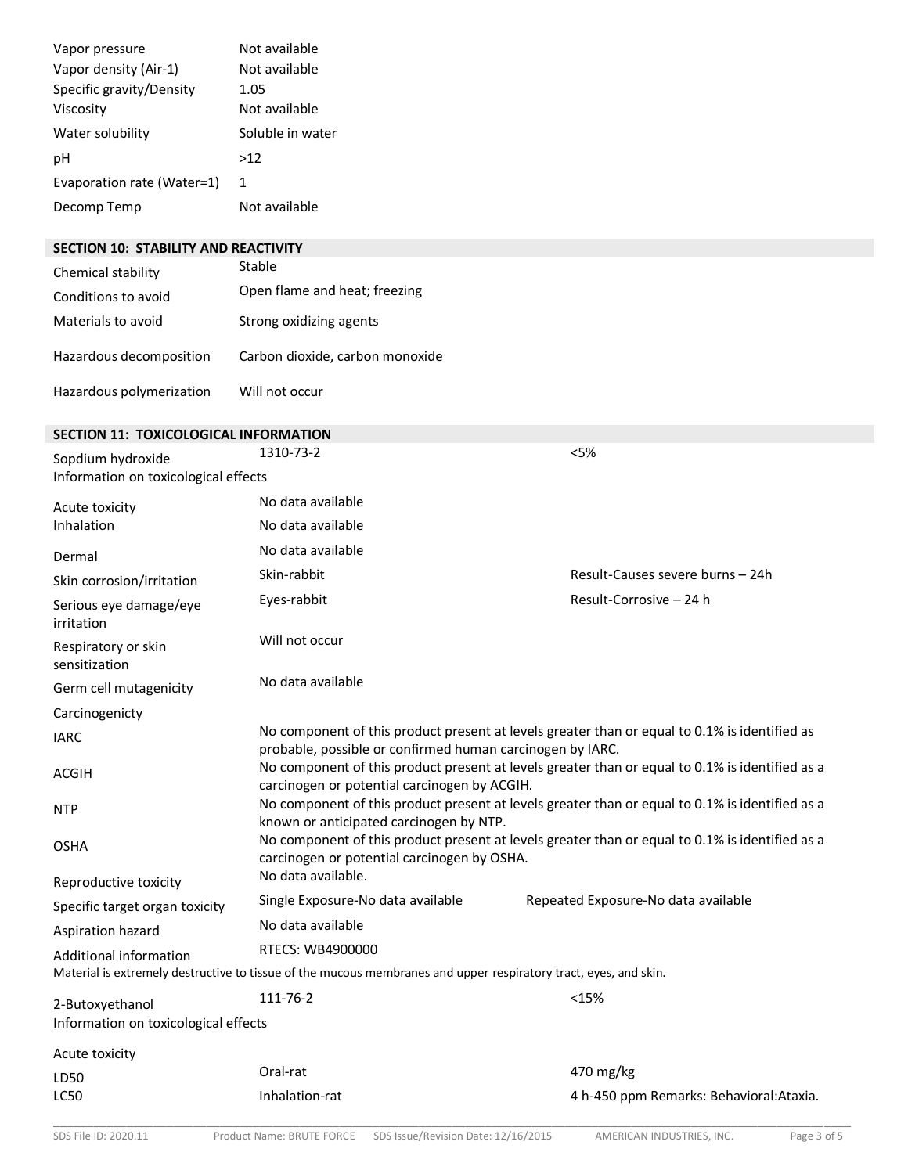| Vapor pressure<br>Vapor density (Air-1)<br>Specific gravity/Density<br>Viscosity<br>Water solubility<br>рH<br>Evaporation rate (Water=1)<br>Decomp Temp | Not available<br>Not available<br>1.05<br>Not available<br>Soluble in water<br>>12<br>1<br>Not available                                                   |                                          |
|---------------------------------------------------------------------------------------------------------------------------------------------------------|------------------------------------------------------------------------------------------------------------------------------------------------------------|------------------------------------------|
| SECTION 10: STABILITY AND REACTIVITY                                                                                                                    | Stable                                                                                                                                                     |                                          |
| Chemical stability                                                                                                                                      | Open flame and heat; freezing                                                                                                                              |                                          |
| Conditions to avoid                                                                                                                                     |                                                                                                                                                            |                                          |
| Materials to avoid                                                                                                                                      | Strong oxidizing agents                                                                                                                                    |                                          |
| Hazardous decomposition                                                                                                                                 | Carbon dioxide, carbon monoxide                                                                                                                            |                                          |
| Hazardous polymerization                                                                                                                                | Will not occur                                                                                                                                             |                                          |
| <b>SECTION 11: TOXICOLOGICAL INFORMATION</b>                                                                                                            |                                                                                                                                                            |                                          |
| Sopdium hydroxide<br>Information on toxicological effects                                                                                               | 1310-73-2                                                                                                                                                  | < 5%                                     |
| Acute toxicity                                                                                                                                          | No data available                                                                                                                                          |                                          |
| Inhalation                                                                                                                                              | No data available                                                                                                                                          |                                          |
| Dermal                                                                                                                                                  | No data available                                                                                                                                          |                                          |
| Skin corrosion/irritation                                                                                                                               | Skin-rabbit                                                                                                                                                | Result-Causes severe burns - 24h         |
|                                                                                                                                                         | Eyes-rabbit                                                                                                                                                | Result-Corrosive - 24 h                  |
| Serious eye damage/eye<br>irritation                                                                                                                    |                                                                                                                                                            |                                          |
| Respiratory or skin<br>sensitization                                                                                                                    | Will not occur                                                                                                                                             |                                          |
| Germ cell mutagenicity                                                                                                                                  | No data available                                                                                                                                          |                                          |
| Carcinogenicty                                                                                                                                          |                                                                                                                                                            |                                          |
| <b>IARC</b>                                                                                                                                             | No component of this product present at levels greater than or equal to 0.1% is identified as<br>probable, possible or confirmed human carcinogen by IARC. |                                          |
| <b>ACGIH</b>                                                                                                                                            | No component of this product present at levels greater than or equal to 0.1% is identified as a<br>carcinogen or potential carcinogen by ACGIH.            |                                          |
| <b>NTP</b>                                                                                                                                              | No component of this product present at levels greater than or equal to 0.1% is identified as a<br>known or anticipated carcinogen by NTP.                 |                                          |
| <b>OSHA</b>                                                                                                                                             | No component of this product present at levels greater than or equal to 0.1% is identified as a<br>carcinogen or potential carcinogen by OSHA.             |                                          |
| Reproductive toxicity                                                                                                                                   | No data available.                                                                                                                                         |                                          |
| Specific target organ toxicity                                                                                                                          | Single Exposure-No data available                                                                                                                          | Repeated Exposure-No data available      |
| Aspiration hazard                                                                                                                                       | No data available                                                                                                                                          |                                          |
| Additional information                                                                                                                                  | RTECS: WB4900000<br>Material is extremely destructive to tissue of the mucous membranes and upper respiratory tract, eyes, and skin.                       |                                          |
| 2-Butoxyethanol<br>Information on toxicological effects                                                                                                 | 111-76-2                                                                                                                                                   | <15%                                     |
| Acute toxicity                                                                                                                                          |                                                                                                                                                            |                                          |
| LD50                                                                                                                                                    | Oral-rat                                                                                                                                                   | 470 mg/kg                                |
| LC50                                                                                                                                                    | Inhalation-rat                                                                                                                                             | 4 h-450 ppm Remarks: Behavioral: Ataxia. |

\_\_\_\_\_\_\_\_\_\_\_\_\_\_\_\_\_\_\_\_\_\_\_\_\_\_\_\_\_\_\_\_\_\_\_\_\_\_\_\_\_\_\_\_\_\_\_\_\_\_\_\_\_\_\_\_\_\_\_\_\_\_\_\_\_\_\_\_\_\_\_\_\_\_\_\_\_\_\_\_\_\_\_\_\_\_\_\_\_\_\_\_\_\_\_\_\_\_\_\_\_\_\_\_\_\_\_\_\_\_\_\_\_\_\_\_\_\_\_\_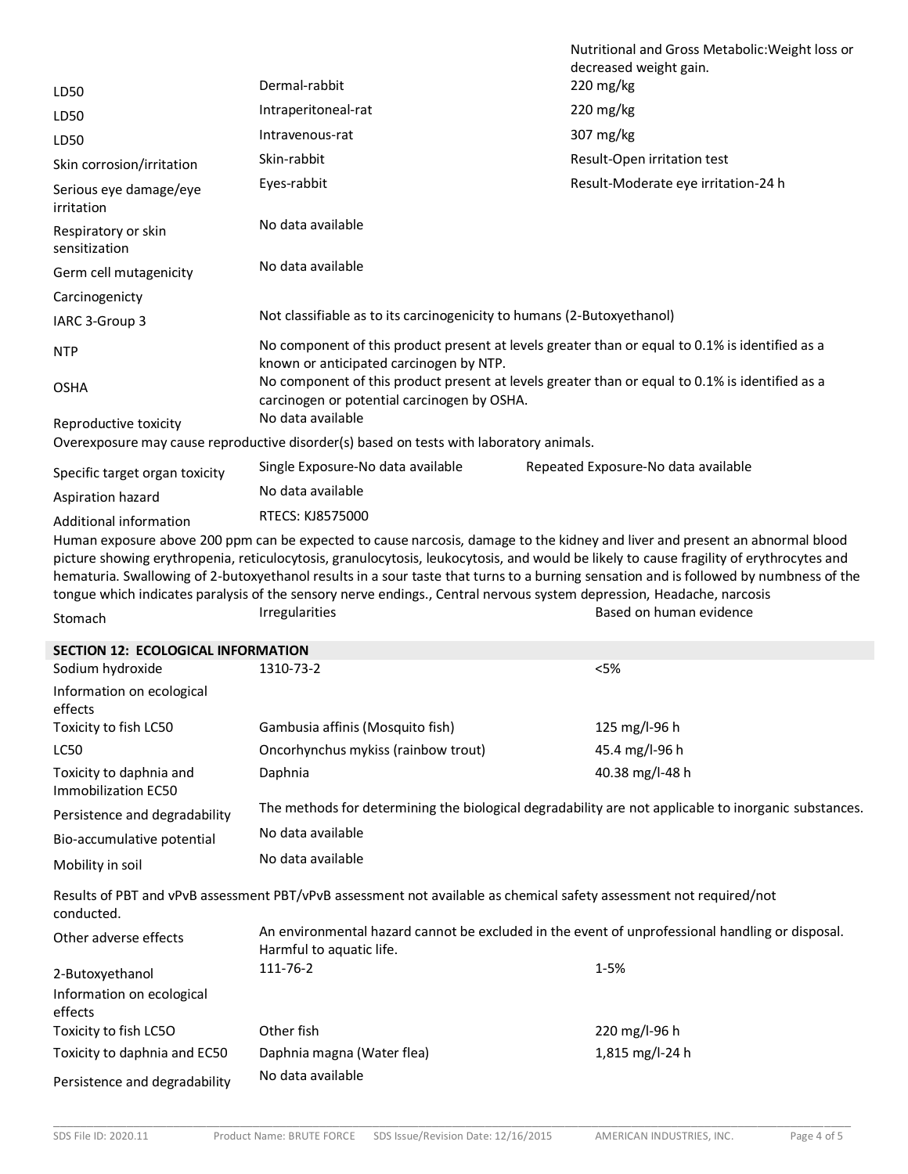|                                                                                                                                                                                                                                                                                                                                                                                                                                                                                                                                                                                                   |                                                                                                                                                | Nutritional and Gross Metabolic: Weight loss or<br>decreased weight gain. |  |
|---------------------------------------------------------------------------------------------------------------------------------------------------------------------------------------------------------------------------------------------------------------------------------------------------------------------------------------------------------------------------------------------------------------------------------------------------------------------------------------------------------------------------------------------------------------------------------------------------|------------------------------------------------------------------------------------------------------------------------------------------------|---------------------------------------------------------------------------|--|
| LD50                                                                                                                                                                                                                                                                                                                                                                                                                                                                                                                                                                                              | Dermal-rabbit                                                                                                                                  | 220 mg/kg                                                                 |  |
| LD50                                                                                                                                                                                                                                                                                                                                                                                                                                                                                                                                                                                              | Intraperitoneal-rat                                                                                                                            | $220$ mg/kg                                                               |  |
| LD50                                                                                                                                                                                                                                                                                                                                                                                                                                                                                                                                                                                              | Intravenous-rat                                                                                                                                | 307 mg/kg                                                                 |  |
| Skin corrosion/irritation                                                                                                                                                                                                                                                                                                                                                                                                                                                                                                                                                                         | Skin-rabbit                                                                                                                                    | Result-Open irritation test                                               |  |
| Serious eye damage/eye<br>irritation                                                                                                                                                                                                                                                                                                                                                                                                                                                                                                                                                              | Eyes-rabbit                                                                                                                                    | Result-Moderate eye irritation-24 h                                       |  |
| Respiratory or skin<br>sensitization                                                                                                                                                                                                                                                                                                                                                                                                                                                                                                                                                              | No data available                                                                                                                              |                                                                           |  |
| Germ cell mutagenicity                                                                                                                                                                                                                                                                                                                                                                                                                                                                                                                                                                            | No data available                                                                                                                              |                                                                           |  |
| Carcinogenicty                                                                                                                                                                                                                                                                                                                                                                                                                                                                                                                                                                                    |                                                                                                                                                |                                                                           |  |
| IARC 3-Group 3                                                                                                                                                                                                                                                                                                                                                                                                                                                                                                                                                                                    | Not classifiable as to its carcinogenicity to humans (2-Butoxyethanol)                                                                         |                                                                           |  |
| <b>NTP</b>                                                                                                                                                                                                                                                                                                                                                                                                                                                                                                                                                                                        | No component of this product present at levels greater than or equal to 0.1% is identified as a<br>known or anticipated carcinogen by NTP.     |                                                                           |  |
| <b>OSHA</b>                                                                                                                                                                                                                                                                                                                                                                                                                                                                                                                                                                                       | No component of this product present at levels greater than or equal to 0.1% is identified as a<br>carcinogen or potential carcinogen by OSHA. |                                                                           |  |
| Reproductive toxicity                                                                                                                                                                                                                                                                                                                                                                                                                                                                                                                                                                             | No data available                                                                                                                              |                                                                           |  |
|                                                                                                                                                                                                                                                                                                                                                                                                                                                                                                                                                                                                   | Overexposure may cause reproductive disorder(s) based on tests with laboratory animals.                                                        |                                                                           |  |
| Specific target organ toxicity                                                                                                                                                                                                                                                                                                                                                                                                                                                                                                                                                                    | Single Exposure-No data available                                                                                                              | Repeated Exposure-No data available                                       |  |
| Aspiration hazard                                                                                                                                                                                                                                                                                                                                                                                                                                                                                                                                                                                 | No data available                                                                                                                              |                                                                           |  |
| Additional information                                                                                                                                                                                                                                                                                                                                                                                                                                                                                                                                                                            | <b>RTECS: KJ8575000</b>                                                                                                                        |                                                                           |  |
| Human exposure above 200 ppm can be expected to cause narcosis, damage to the kidney and liver and present an abnormal blood<br>picture showing erythropenia, reticulocytosis, granulocytosis, leukocytosis, and would be likely to cause fragility of erythrocytes and<br>hematuria. Swallowing of 2-butoxyethanol results in a sour taste that turns to a burning sensation and is followed by numbness of the<br>tongue which indicates paralysis of the sensory nerve endings., Central nervous system depression, Headache, narcosis<br>Based on human evidence<br>Irregularities<br>Stomach |                                                                                                                                                |                                                                           |  |
| <b>SECTION 12: ECOLOGICAL INFORMATION</b>                                                                                                                                                                                                                                                                                                                                                                                                                                                                                                                                                         |                                                                                                                                                |                                                                           |  |
| Sodium hydroxide                                                                                                                                                                                                                                                                                                                                                                                                                                                                                                                                                                                  | 1310-73-2                                                                                                                                      | < 5%                                                                      |  |
| Information on ecological                                                                                                                                                                                                                                                                                                                                                                                                                                                                                                                                                                         |                                                                                                                                                |                                                                           |  |

| Information on ecological                      |                                                                                                                             |                 |
|------------------------------------------------|-----------------------------------------------------------------------------------------------------------------------------|-----------------|
| effects                                        |                                                                                                                             |                 |
| Toxicity to fish LC50                          | Gambusia affinis (Mosquito fish)                                                                                            | 125 mg/l-96 h   |
| <b>LC50</b>                                    | Oncorhynchus mykiss (rainbow trout)                                                                                         | 45.4 mg/l-96 h  |
| Toxicity to daphnia and<br>Immobilization EC50 | Daphnia                                                                                                                     | 40.38 mg/l-48 h |
| Persistence and degradability                  | The methods for determining the biological degradability are not applicable to inorganic substances.                        |                 |
| Bio-accumulative potential                     | No data available                                                                                                           |                 |
| Mobility in soil                               | No data available                                                                                                           |                 |
| conducted.                                     | Results of PBT and vPvB assessment PBT/vPvB assessment not available as chemical safety assessment not required/not         |                 |
| Other adverse effects                          | An environmental hazard cannot be excluded in the event of unprofessional handling or disposal.<br>Harmful to aquatic life. |                 |
| 2-Butoxyethanol                                | 111-76-2                                                                                                                    | $1 - 5%$        |
| Information on ecological<br>effects           |                                                                                                                             |                 |
| Toxicity to fish LC5O                          | Other fish                                                                                                                  | 220 mg/l-96 h   |
| Toxicity to daphnia and EC50                   | Daphnia magna (Water flea)                                                                                                  | 1,815 mg/l-24 h |
| Persistence and degradability                  | No data available                                                                                                           |                 |